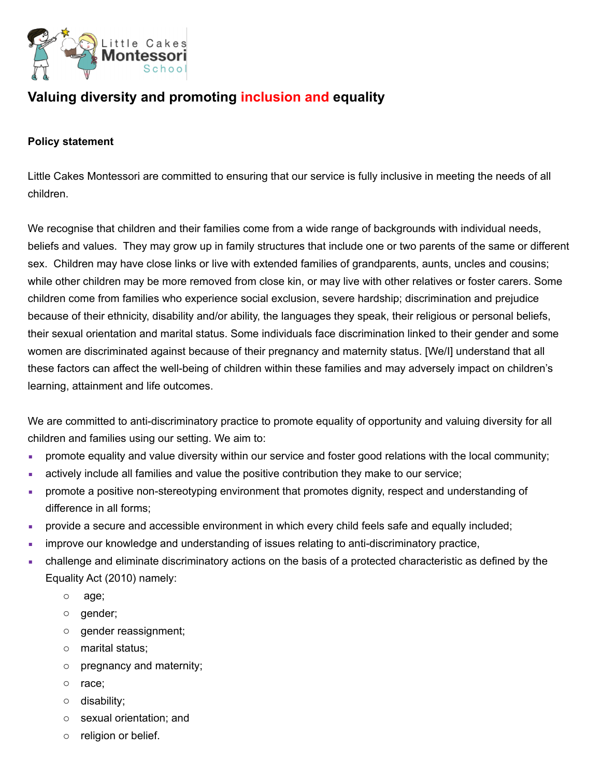

# **Valuing diversity and promoting inclusion and equality**

#### **Policy statement**

Little Cakes Montessori are committed to ensuring that our service is fully inclusive in meeting the needs of all children.

We recognise that children and their families come from a wide range of backgrounds with individual needs, beliefs and values. They may grow up in family structures that include one or two parents of the same or different sex. Children may have close links or live with extended families of grandparents, aunts, uncles and cousins; while other children may be more removed from close kin, or may live with other relatives or foster carers. Some children come from families who experience social exclusion, severe hardship; discrimination and prejudice because of their ethnicity, disability and/or ability, the languages they speak, their religious or personal beliefs, their sexual orientation and marital status. Some individuals face discrimination linked to their gender and some women are discriminated against because of their pregnancy and maternity status. [We/I] understand that all these factors can affect the well-being of children within these families and may adversely impact on children's learning, attainment and life outcomes.

We are committed to anti-discriminatory practice to promote equality of opportunity and valuing diversity for all children and families using our setting. We aim to:

- promote equality and value diversity within our service and foster good relations with the local community;
- **EXECT** actively include all families and value the positive contribution they make to our service;
- **•** promote a positive non-stereotyping environment that promotes dignity, respect and understanding of difference in all forms;
- provide a secure and accessible environment in which every child feels safe and equally included;
- **EXECT** improve our knowledge and understanding of issues relating to anti-discriminatory practice,
- challenge and eliminate discriminatory actions on the basis of a protected characteristic as defined by the Equality Act (2010) namely:
	- o age;
	- o gender;
	- o gender reassignment;
	- o marital status;
	- o pregnancy and maternity;
	- o race;
	- o disability;
	- o sexual orientation; and
	- o religion or belief.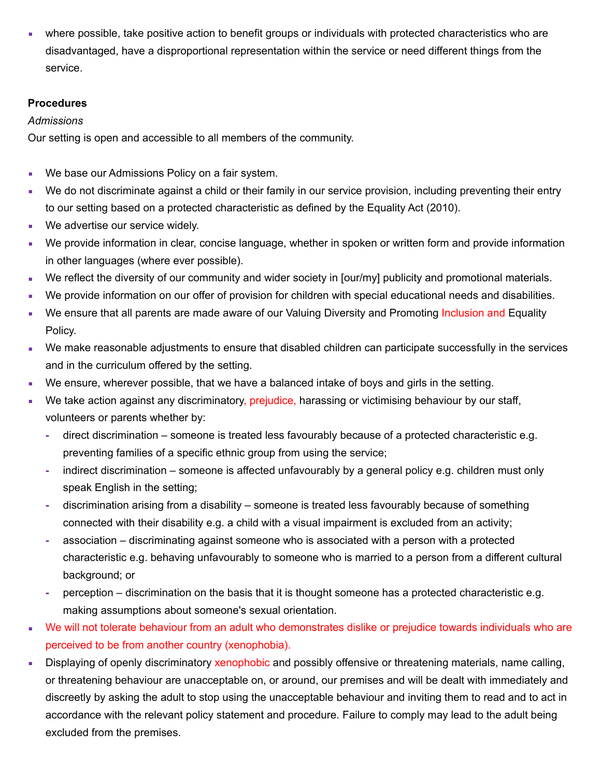where possible, take positive action to benefit groups or individuals with protected characteristics who are disadvantaged, have a disproportional representation within the service or need different things from the service.

# **Procedures**

# *Admissions*

Our setting is open and accessible to all members of the community.

- **We base our Admissions Policy on a fair system.**
- We do not discriminate against a child or their family in our service provision, including preventing their entry to our setting based on a protected characteristic as defined by the Equality Act (2010).
- **We advertise our service widely.**
- We provide information in clear, concise language, whether in spoken or written form and provide information in other languages (where ever possible).
- We reflect the diversity of our community and wider society in [our/my] publicity and promotional materials.
- We provide information on our offer of provision for children with special educational needs and disabilities.
- We ensure that all parents are made aware of our Valuing Diversity and Promoting Inclusion and Equality Policy.
- We make reasonable adjustments to ensure that disabled children can participate successfully in the services and in the curriculum offered by the setting.
- We ensure, wherever possible, that we have a balanced intake of boys and girls in the setting.
- We take action against any discriminatory, prejudice, harassing or victimising behaviour by our staff, volunteers or parents whether by:
	- **-** direct discrimination someone is treated less favourably because of a protected characteristic e.g. preventing families of a specific ethnic group from using the service;
	- **-** indirect discrimination someone is affected unfavourably by a general policy e.g. children must only speak English in the setting;
	- **-** discrimination arising from a disability someone is treated less favourably because of something connected with their disability e.g. a child with a visual impairment is excluded from an activity;
	- **-** association discriminating against someone who is associated with a person with a protected characteristic e.g. behaving unfavourably to someone who is married to a person from a different cultural background; or
	- **-** perception discrimination on the basis that it is thought someone has a protected characteristic e.g. making assumptions about someone's sexual orientation.
- We will not tolerate behaviour from an adult who demonstrates dislike or prejudice towards individuals who are perceived to be from another country (xenophobia).
- **EXECT** Displaying of openly discriminatory xenophobic and possibly offensive or threatening materials, name calling, or threatening behaviour are unacceptable on, or around, our premises and will be dealt with immediately and discreetly by asking the adult to stop using the unacceptable behaviour and inviting them to read and to act in accordance with the relevant policy statement and procedure. Failure to comply may lead to the adult being excluded from the premises.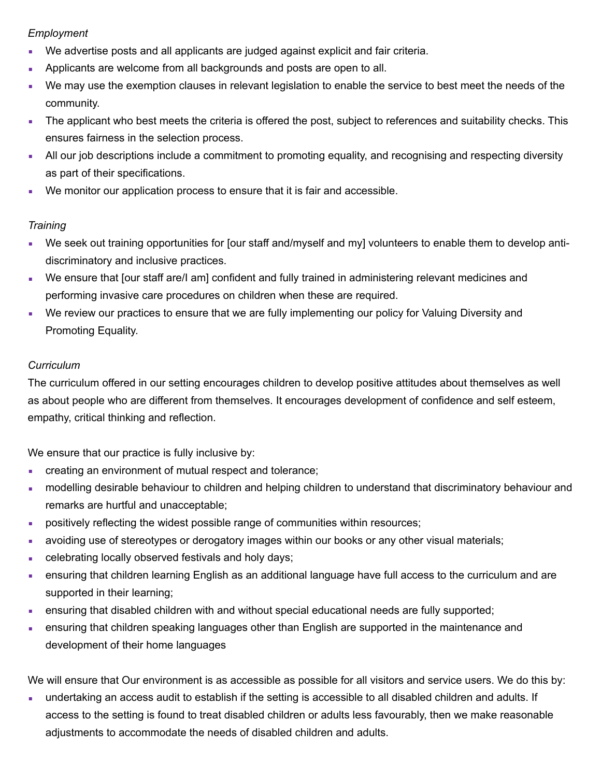# *Employment*

- We advertise posts and all applicants are judged against explicit and fair criteria.
- **Applicants are welcome from all backgrounds and posts are open to all.**
- We may use the exemption clauses in relevant legislation to enable the service to best meet the needs of the community.
- **The applicant who best meets the criteria is offered the post, subject to references and suitability checks. This** ensures fairness in the selection process.
- All our job descriptions include a commitment to promoting equality, and recognising and respecting diversity as part of their specifications.
- We monitor our application process to ensure that it is fair and accessible.

# *Training*

- We seek out training opportunities for [our staff and/myself and my] volunteers to enable them to develop antidiscriminatory and inclusive practices.
- We ensure that [our staff are/I am] confident and fully trained in administering relevant medicines and performing invasive care procedures on children when these are required.
- We review our practices to ensure that we are fully implementing our policy for Valuing Diversity and Promoting Equality.

# *Curriculum*

The curriculum offered in our setting encourages children to develop positive attitudes about themselves as well as about people who are different from themselves. It encourages development of confidence and self esteem, empathy, critical thinking and reflection.

We ensure that our practice is fully inclusive by:

- **creating an environment of mutual respect and tolerance;**
- modelling desirable behaviour to children and helping children to understand that discriminatory behaviour and remarks are hurtful and unacceptable;
- **•** positively reflecting the widest possible range of communities within resources;
- avoiding use of stereotypes or derogatory images within our books or any other visual materials;
- **EXECTED EXECTED FEEDER** celebrating locally observed festivals and holy days;
- ensuring that children learning English as an additional language have full access to the curriculum and are supported in their learning;
- **EXECT** ensuring that disabled children with and without special educational needs are fully supported;
- **EXECT** ensuring that children speaking languages other than English are supported in the maintenance and development of their home languages

We will ensure that Our environment is as accessible as possible for all visitors and service users. We do this by:

▪ undertaking an access audit to establish if the setting is accessible to all disabled children and adults. If access to the setting is found to treat disabled children or adults less favourably, then we make reasonable adjustments to accommodate the needs of disabled children and adults.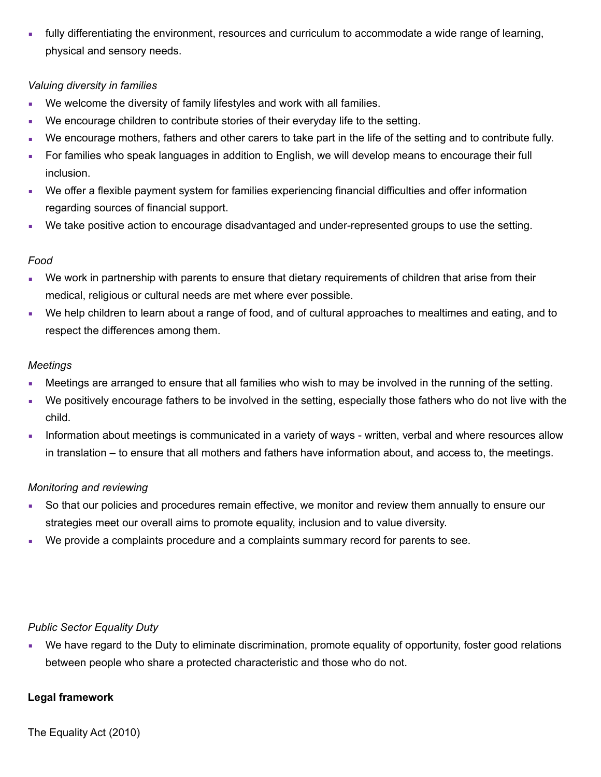▪ fully differentiating the environment, resources and curriculum to accommodate a wide range of learning, physical and sensory needs.

#### *Valuing diversity in families*

- We welcome the diversity of family lifestyles and work with all families.
- We encourage children to contribute stories of their everyday life to the setting.
- We encourage mothers, fathers and other carers to take part in the life of the setting and to contribute fully.
- **For families who speak languages in addition to English, we will develop means to encourage their full** inclusion.
- We offer a flexible payment system for families experiencing financial difficulties and offer information regarding sources of financial support.
- We take positive action to encourage disadvantaged and under-represented groups to use the setting.

# *Food*

- We work in partnership with parents to ensure that dietary requirements of children that arise from their medical, religious or cultural needs are met where ever possible.
- We help children to learn about a range of food, and of cultural approaches to mealtimes and eating, and to respect the differences among them.

#### *Meetings*

- **Meetings are arranged to ensure that all families who wish to may be involved in the running of the setting.**
- We positively encourage fathers to be involved in the setting, especially those fathers who do not live with the child.
- **EXED** Information about meetings is communicated in a variety of ways written, verbal and where resources allow in translation – to ensure that all mothers and fathers have information about, and access to, the meetings.

#### *Monitoring and reviewing*

- So that our policies and procedures remain effective, we monitor and review them annually to ensure our strategies meet our overall aims to promote equality, inclusion and to value diversity.
- We provide a complaints procedure and a complaints summary record for parents to see.

#### *Public Sector Equality Duty*

• We have regard to the Duty to eliminate discrimination, promote equality of opportunity, foster good relations between people who share a protected characteristic and those who do not.

#### **Legal framework**

The Equality Act (2010)